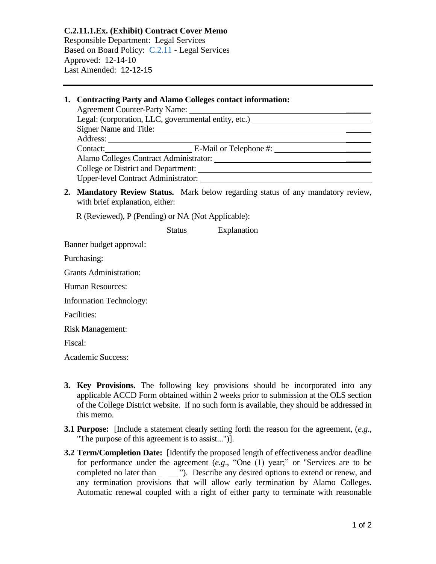**C.2.11.1.Ex. (Exhibit) Contract Cover Memo** Responsible Department: Legal Services Based on Board Policy: [C.2.11](https://www.alamo.edu/siteassets/district/about-us/leadership/board-of-trustees/policies-pdfs/section-c/c.2.11-policy.pdf) - Legal Services Approved: 12-14-10 Last Amended: 12-12-15

## **1. Contracting Party and Alamo Colleges contact information:**

| <b>Agreement Counter-Party Name:</b>                         |  |
|--------------------------------------------------------------|--|
| Legal: (corporation, LLC, governmental entity, etc.) _______ |  |
| Signer Name and Title:                                       |  |
| Address:                                                     |  |
| Contact: E-Mail or Telephone #:                              |  |
| Alamo Colleges Contract Administrator:                       |  |
| College or District and Department:                          |  |
| Upper-level Contract Administrator:                          |  |

**2. Mandatory Review Status.** Mark below regarding status of any mandatory review, with brief explanation, either:

R (Reviewed), P (Pending) or NA (Not Applicable):

Status Explanation

Banner budget approval:

Purchasing:

Grants Administration:

Human Resources:

Information Technology:

Facilities:

Risk Management:

Fiscal:

Academic Success:

- **3. Key Provisions.** The following key provisions should be incorporated into any applicable ACCD Form obtained within 2 weeks prior to submission at the OLS section of the College District website. If no such form is available, they should be addressed in this memo.
- **3.1 Purpose:** [Include a statement clearly setting forth the reason for the agreement, (*e.g*., "The purpose of this agreement is to assist...")].
- **3.2 Term/Completion Date:** [Identify the proposed length of effectiveness and/or deadline for performance under the agreement (*e.g*., "One (1) year;" or "Services are to be completed no later than  $\qquad$  "). Describe any desired options to extend or renew, and any termination provisions that will allow early termination by Alamo Colleges. Automatic renewal coupled with a right of either party to terminate with reasonable